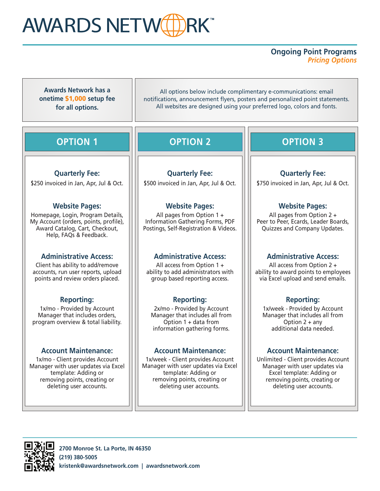# AWARDS NETW<sup>(H)</sup>RK

### **Ongoing Point Programs**  *Pricing Options*

**Awards Network has a onetime** \$1,000 **setup fee for all options.**

All options below include complimentary e-communications: email notifications, announcement flyers, posters and personalized point statements. All websites are designed using your preferred logo, colors and fonts.

## **OPTION 1**

#### **Quarterly Fee:**

\$250 invoiced in Jan, Apr, Jul & Oct.

#### **Website Pages:**

Homepage, Login, Program Details, My Account (orders, points, profile), Award Catalog, Cart, Checkout, Help, FAQs & Feedback.

#### **Administrative Access:**

Client has ability to add/remove accounts, run user reports, upload points and review orders placed.

#### **Reporting:**

1x/mo - Provided by Account Manager that includes orders, program overview & total liability.

#### **Account Maintenance:**

1x/mo - Client provides Account Manager with user updates via Excel template: Adding or removing points, creating or deleting user accounts.

# **OPTION 2**

**Quarterly Fee:** \$500 invoiced in Jan, Apr, Jul & Oct.

#### **Website Pages:**

All pages from Option 1 + Information Gathering Forms, PDF Postings, Self-Registration & Videos.

#### **Administrative Access:**

All access from Option 1 + ability to add administrators with group based reporting access.

#### **Reporting:**

2x/mo - Provided by Account Manager that includes all from Option 1 + data from information gathering forms.

1x/week - Client provides Account Manager with user updates via Excel template: Adding or removing points, creating or deleting user accounts.

### **OPTION 3**

**Quarterly Fee:** \$750 invoiced in Jan, Apr, Jul & Oct.

#### **Website Pages:**

All pages from Option 2 + Peer to Peer, Ecards, Leader Boards, Quizzes and Company Updates.

#### **Administrative Access:**

All access from Option 2 + ability to award points to employees via Excel upload and send emails.

#### **Reporting:**

1x/week - Provided by Account Manager that includes all from Option 2 + any additional data needed.

#### **Account Maintenance: Account Maintenance:**

Unlimited - Client provides Account Manager with user updates via Excel template: Adding or removing points, creating or deleting user accounts.